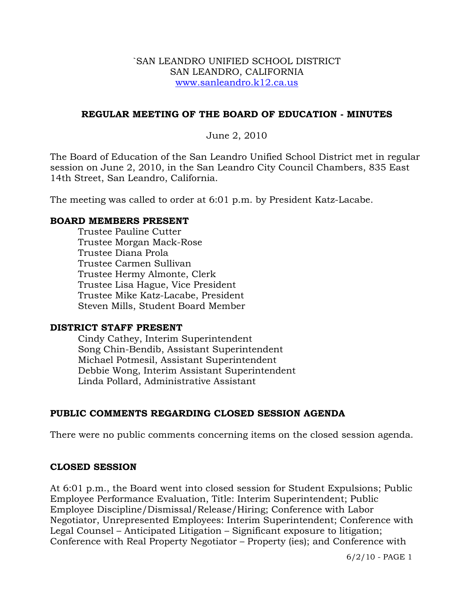#### `SAN LEANDRO UNIFIED SCHOOL DISTRICT SAN LEANDRO, CALIFORNIA www.sanleandro.k12.ca.us

### **REGULAR MEETING OF THE BOARD OF EDUCATION - MINUTES**

June 2, 2010

The Board of Education of the San Leandro Unified School District met in regular session on June 2, 2010, in the San Leandro City Council Chambers, 835 East 14th Street, San Leandro, California.

The meeting was called to order at 6:01 p.m. by President Katz-Lacabe.

#### **BOARD MEMBERS PRESENT**

Trustee Pauline Cutter Trustee Morgan Mack-Rose Trustee Diana Prola Trustee Carmen Sullivan Trustee Hermy Almonte, Clerk Trustee Lisa Hague, Vice President Trustee Mike Katz-Lacabe, President Steven Mills, Student Board Member

#### **DISTRICT STAFF PRESENT**

Cindy Cathey, Interim Superintendent Song Chin-Bendib, Assistant Superintendent Michael Potmesil, Assistant Superintendent Debbie Wong, Interim Assistant Superintendent Linda Pollard, Administrative Assistant

# **PUBLIC COMMENTS REGARDING CLOSED SESSION AGENDA**

There were no public comments concerning items on the closed session agenda.

#### **CLOSED SESSION**

At 6:01 p.m., the Board went into closed session for Student Expulsions; Public Employee Performance Evaluation, Title: Interim Superintendent; Public Employee Discipline/Dismissal/Release/Hiring; Conference with Labor Negotiator, Unrepresented Employees: Interim Superintendent; Conference with Legal Counsel – Anticipated Litigation – Significant exposure to litigation; Conference with Real Property Negotiator – Property (ies); and Conference with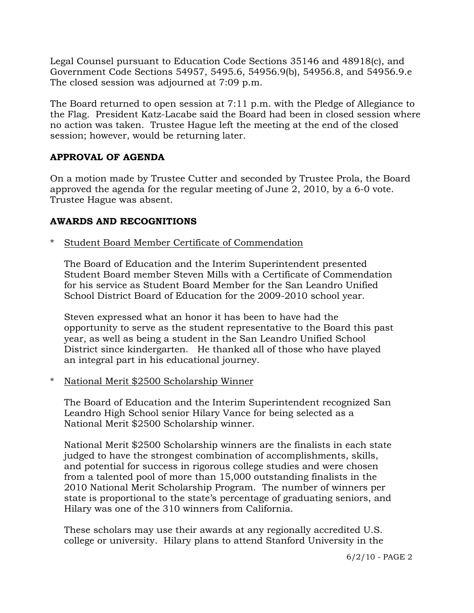Legal Counsel pursuant to Education Code Sections 35146 and 48918(c), and Government Code Sections 54957, 5495.6, 54956.9(b), 54956.8, and 54956.9.e The closed session was adjourned at 7:09 p.m.

The Board returned to open session at 7:11 p.m. with the Pledge of Allegiance to the Flag. President Katz-Lacabe said the Board had been in closed session where no action was taken. Trustee Hague left the meeting at the end of the closed session; however, would be returning later.

# **APPROVAL OF AGENDA**

On a motion made by Trustee Cutter and seconded by Trustee Prola, the Board approved the agenda for the regular meeting of June 2, 2010, by a 6-0 vote. Trustee Hague was absent.

# **AWARDS AND RECOGNITIONS**

Student Board Member Certificate of Commendation

 The Board of Education and the Interim Superintendent presented Student Board member Steven Mills with a Certificate of Commendation for his service as Student Board Member for the San Leandro Unified School District Board of Education for the 2009-2010 school year.

 Steven expressed what an honor it has been to have had the opportunity to serve as the student representative to the Board this past year, as well as being a student in the San Leandro Unified School District since kindergarten. He thanked all of those who have played an integral part in his educational journey.

\* National Merit \$2500 Scholarship Winner

 The Board of Education and the Interim Superintendent recognized San Leandro High School senior Hilary Vance for being selected as a National Merit \$2500 Scholarship winner.

 National Merit \$2500 Scholarship winners are the finalists in each state judged to have the strongest combination of accomplishments, skills, and potential for success in rigorous college studies and were chosen from a talented pool of more than 15,000 outstanding finalists in the 2010 National Merit Scholarship Program. The number of winners per state is proportional to the state's percentage of graduating seniors, and Hilary was one of the 310 winners from California.

 These scholars may use their awards at any regionally accredited U.S. college or university. Hilary plans to attend Stanford University in the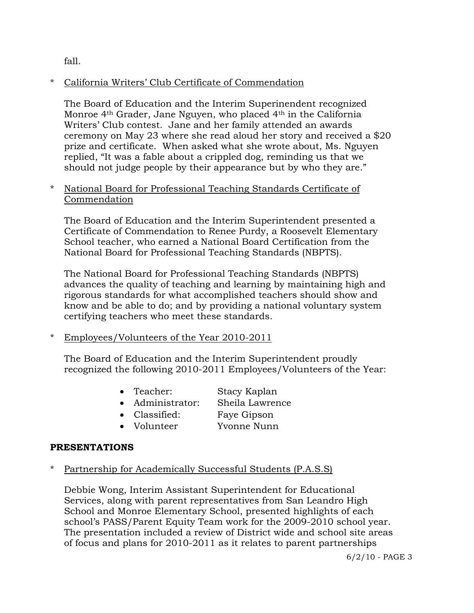fall.

# \* California Writers' Club Certificate of Commendation

 The Board of Education and the Interim Superinendent recognized Monroe 4th Grader, Jane Nguyen, who placed 4th in the California Writers' Club contest. Jane and her family attended an awards ceremony on May 23 where she read aloud her story and received a \$20 prize and certificate. When asked what she wrote about, Ms. Nguyen replied, "It was a fable about a crippled dog, reminding us that we should not judge people by their appearance but by who they are."

# \* National Board for Professional Teaching Standards Certificate of Commendation

 The Board of Education and the Interim Superintendent presented a Certificate of Commendation to Renee Purdy, a Roosevelt Elementary School teacher, who earned a National Board Certification from the National Board for Professional Teaching Standards (NBPTS).

 The National Board for Professional Teaching Standards (NBPTS) advances the quality of teaching and learning by maintaining high and rigorous standards for what accomplished teachers should show and know and be able to do; and by providing a national voluntary system certifying teachers who meet these standards.

\* Employees/Volunteers of the Year 2010-2011

 The Board of Education and the Interim Superintendent proudly recognized the following 2010-2011 Employees/Volunteers of the Year:

- Teacher: Stacy Kaplan
- Administrator: Sheila Lawrence
- Classified: Faye Gipson
- Volunteer Yvonne Nunn

# **PRESENTATIONS**

# Partnership for Academically Successful Students (P.A.S.S)

Debbie Wong, Interim Assistant Superintendent for Educational Services, along with parent representatives from San Leandro High School and Monroe Elementary School, presented highlights of each school's PASS/Parent Equity Team work for the 2009-2010 school year. The presentation included a review of District wide and school site areas of focus and plans for 2010-2011 as it relates to parent partnerships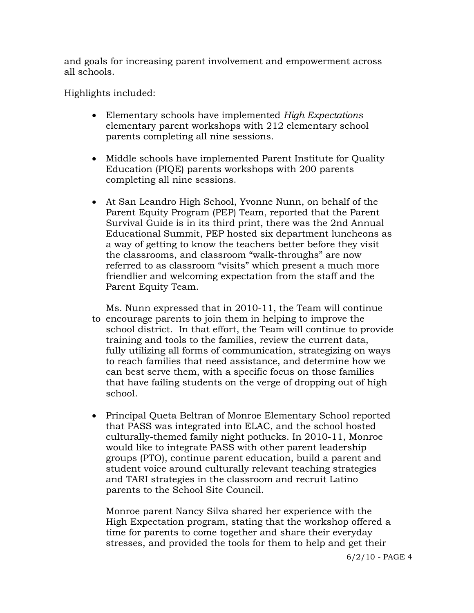and goals for increasing parent involvement and empowerment across all schools.

Highlights included:

- Elementary schools have implemented *High Expectations* elementary parent workshops with 212 elementary school parents completing all nine sessions.
- Middle schools have implemented Parent Institute for Quality Education (PIQE) parents workshops with 200 parents completing all nine sessions.
- At San Leandro High School, Yvonne Nunn, on behalf of the Parent Equity Program (PEP) Team, reported that the Parent Survival Guide is in its third print, there was the 2nd Annual Educational Summit, PEP hosted six department luncheons as a way of getting to know the teachers better before they visit the classrooms, and classroom "walk-throughs" are now referred to as classroom "visits" which present a much more friendlier and welcoming expectation from the staff and the Parent Equity Team.

 Ms. Nunn expressed that in 2010-11, the Team will continue to encourage parents to join them in helping to improve the school district. In that effort, the Team will continue to provide training and tools to the families, review the current data, fully utilizing all forms of communication, strategizing on ways to reach families that need assistance, and determine how we can best serve them, with a specific focus on those families that have failing students on the verge of dropping out of high school.

• Principal Queta Beltran of Monroe Elementary School reported that PASS was integrated into ELAC, and the school hosted culturally-themed family night potlucks. In 2010-11, Monroe would like to integrate PASS with other parent leadership groups (PTO), continue parent education, build a parent and student voice around culturally relevant teaching strategies and TARI strategies in the classroom and recruit Latino parents to the School Site Council.

 Monroe parent Nancy Silva shared her experience with the High Expectation program, stating that the workshop offered a time for parents to come together and share their everyday stresses, and provided the tools for them to help and get their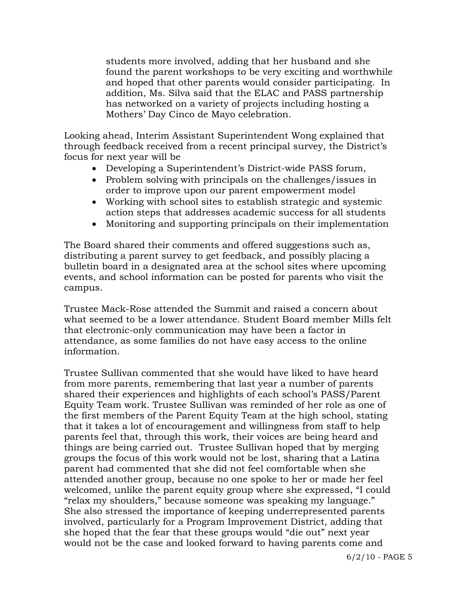students more involved, adding that her husband and she found the parent workshops to be very exciting and worthwhile and hoped that other parents would consider participating. In addition, Ms. Silva said that the ELAC and PASS partnership has networked on a variety of projects including hosting a Mothers' Day Cinco de Mayo celebration.

 Looking ahead, Interim Assistant Superintendent Wong explained that through feedback received from a recent principal survey, the District's focus for next year will be

- Developing a Superintendent's District-wide PASS forum,
- Problem solving with principals on the challenges/issues in order to improve upon our parent empowerment model
- Working with school sites to establish strategic and systemic action steps that addresses academic success for all students
- Monitoring and supporting principals on their implementation

 The Board shared their comments and offered suggestions such as, distributing a parent survey to get feedback, and possibly placing a bulletin board in a designated area at the school sites where upcoming events, and school information can be posted for parents who visit the campus.

 Trustee Mack-Rose attended the Summit and raised a concern about what seemed to be a lower attendance. Student Board member Mills felt that electronic-only communication may have been a factor in attendance, as some families do not have easy access to the online information.

 Trustee Sullivan commented that she would have liked to have heard from more parents, remembering that last year a number of parents shared their experiences and highlights of each school's PASS/Parent Equity Team work. Trustee Sullivan was reminded of her role as one of the first members of the Parent Equity Team at the high school, stating that it takes a lot of encouragement and willingness from staff to help parents feel that, through this work, their voices are being heard and things are being carried out. Trustee Sullivan hoped that by merging groups the focus of this work would not be lost, sharing that a Latina parent had commented that she did not feel comfortable when she attended another group, because no one spoke to her or made her feel welcomed, unlike the parent equity group where she expressed, "I could "relax my shoulders," because someone was speaking my language." She also stressed the importance of keeping underrepresented parents involved, particularly for a Program Improvement District, adding that she hoped that the fear that these groups would "die out" next year would not be the case and looked forward to having parents come and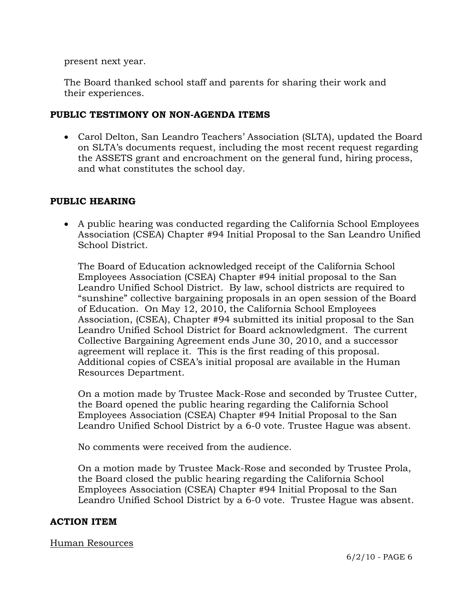present next year.

 The Board thanked school staff and parents for sharing their work and their experiences.

### **PUBLIC TESTIMONY ON NON-AGENDA ITEMS**

• Carol Delton, San Leandro Teachers' Association (SLTA), updated the Board on SLTA's documents request, including the most recent request regarding the ASSETS grant and encroachment on the general fund, hiring process, and what constitutes the school day.

# **PUBLIC HEARING**

 A public hearing was conducted regarding the California School Employees Association (CSEA) Chapter #94 Initial Proposal to the San Leandro Unified School District.

 The Board of Education acknowledged receipt of the California School Employees Association (CSEA) Chapter #94 initial proposal to the San Leandro Unified School District. By law, school districts are required to "sunshine" collective bargaining proposals in an open session of the Board of Education. On May 12, 2010, the California School Employees Association, (CSEA), Chapter #94 submitted its initial proposal to the San Leandro Unified School District for Board acknowledgment. The current Collective Bargaining Agreement ends June 30, 2010, and a successor agreement will replace it. This is the first reading of this proposal. Additional copies of CSEA's initial proposal are available in the Human Resources Department.

 On a motion made by Trustee Mack-Rose and seconded by Trustee Cutter, the Board opened the public hearing regarding the California School Employees Association (CSEA) Chapter #94 Initial Proposal to the San Leandro Unified School District by a 6-0 vote. Trustee Hague was absent.

No comments were received from the audience.

 On a motion made by Trustee Mack-Rose and seconded by Trustee Prola, the Board closed the public hearing regarding the California School Employees Association (CSEA) Chapter #94 Initial Proposal to the San Leandro Unified School District by a 6-0 vote. Trustee Hague was absent.

# **ACTION ITEM**

#### Human Resources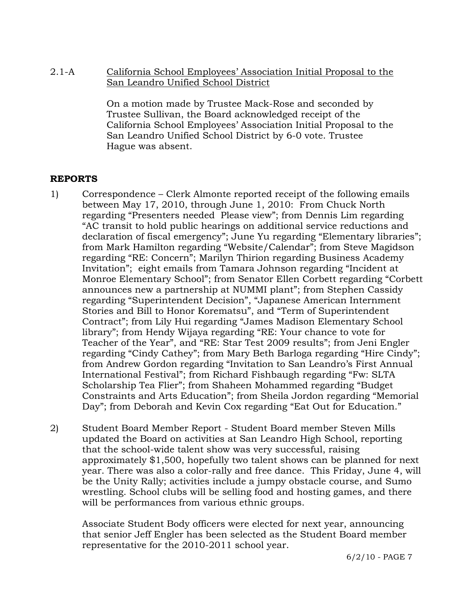2.1-A California School Employees' Association Initial Proposal to the San Leandro Unified School District

> On a motion made by Trustee Mack-Rose and seconded by Trustee Sullivan, the Board acknowledged receipt of the California School Employees' Association Initial Proposal to the San Leandro Unified School District by 6-0 vote. Trustee Hague was absent.

# **REPORTS**

- 1) Correspondence Clerk Almonte reported receipt of the following emails between May 17, 2010, through June 1, 2010: From Chuck North regarding "Presenters needed Please view"; from Dennis Lim regarding "AC transit to hold public hearings on additional service reductions and declaration of fiscal emergency"; June Yu regarding "Elementary libraries"; from Mark Hamilton regarding "Website/Calendar"; from Steve Magidson regarding "RE: Concern"; Marilyn Thirion regarding Business Academy Invitation"; eight emails from Tamara Johnson regarding "Incident at Monroe Elementary School"; from Senator Ellen Corbett regarding "Corbett announces new a partnership at NUMMI plant"; from Stephen Cassidy regarding "Superintendent Decision", "Japanese American Internment Stories and Bill to Honor Korematsu", and "Term of Superintendent Contract"; from Lily Hui regarding "James Madison Elementary School library"; from Hendy Wijaya regarding "RE: Your chance to vote for Teacher of the Year", and "RE: Star Test 2009 results"; from Jeni Engler regarding "Cindy Cathey"; from Mary Beth Barloga regarding "Hire Cindy"; from Andrew Gordon regarding "Invitation to San Leandro's First Annual International Festival"; from Richard Fishbaugh regarding "Fw: SLTA Scholarship Tea Flier"; from Shaheen Mohammed regarding "Budget Constraints and Arts Education"; from Sheila Jordon regarding "Memorial Day"; from Deborah and Kevin Cox regarding "Eat Out for Education."
- 2) Student Board Member Report Student Board member Steven Mills updated the Board on activities at San Leandro High School, reporting that the school-wide talent show was very successful, raising approximately \$1,500, hopefully two talent shows can be planned for next year. There was also a color-rally and free dance. This Friday, June 4, will be the Unity Rally; activities include a jumpy obstacle course, and Sumo wrestling. School clubs will be selling food and hosting games, and there will be performances from various ethnic groups.

Associate Student Body officers were elected for next year, announcing that senior Jeff Engler has been selected as the Student Board member representative for the 2010-2011 school year.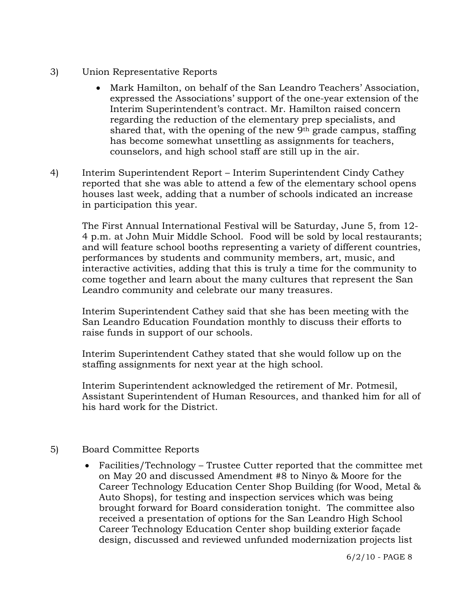- 3) Union Representative Reports
	- Mark Hamilton, on behalf of the San Leandro Teachers' Association, expressed the Associations' support of the one-year extension of the Interim Superintendent's contract. Mr. Hamilton raised concern regarding the reduction of the elementary prep specialists, and shared that, with the opening of the new  $9<sup>th</sup>$  grade campus, staffing has become somewhat unsettling as assignments for teachers, counselors, and high school staff are still up in the air.
- 4) Interim Superintendent Report Interim Superintendent Cindy Cathey reported that she was able to attend a few of the elementary school opens houses last week, adding that a number of schools indicated an increase in participation this year.

The First Annual International Festival will be Saturday, June 5, from 12- 4 p.m. at John Muir Middle School. Food will be sold by local restaurants; and will feature school booths representing a variety of different countries, performances by students and community members, art, music, and interactive activities, adding that this is truly a time for the community to come together and learn about the many cultures that represent the San Leandro community and celebrate our many treasures.

Interim Superintendent Cathey said that she has been meeting with the San Leandro Education Foundation monthly to discuss their efforts to raise funds in support of our schools.

Interim Superintendent Cathey stated that she would follow up on the staffing assignments for next year at the high school.

Interim Superintendent acknowledged the retirement of Mr. Potmesil, Assistant Superintendent of Human Resources, and thanked him for all of his hard work for the District.

# 5) Board Committee Reports

 Facilities/Technology – Trustee Cutter reported that the committee met on May 20 and discussed Amendment #8 to Ninyo & Moore for the Career Technology Education Center Shop Building (for Wood, Metal & Auto Shops), for testing and inspection services which was being brought forward for Board consideration tonight. The committee also received a presentation of options for the San Leandro High School Career Technology Education Center shop building exterior façade design, discussed and reviewed unfunded modernization projects list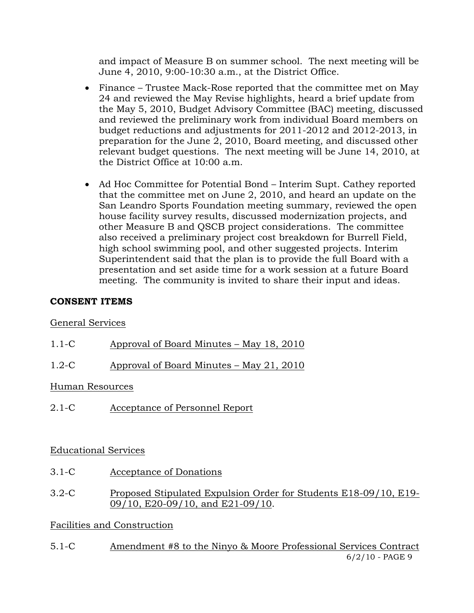and impact of Measure B on summer school. The next meeting will be June 4, 2010, 9:00-10:30 a.m., at the District Office.

- Finance Trustee Mack-Rose reported that the committee met on May 24 and reviewed the May Revise highlights, heard a brief update from the May 5, 2010, Budget Advisory Committee (BAC) meeting, discussed and reviewed the preliminary work from individual Board members on budget reductions and adjustments for 2011-2012 and 2012-2013, in preparation for the June 2, 2010, Board meeting, and discussed other relevant budget questions. The next meeting will be June 14, 2010, at the District Office at 10:00 a.m.
- Ad Hoc Committee for Potential Bond Interim Supt. Cathey reported that the committee met on June 2, 2010, and heard an update on the San Leandro Sports Foundation meeting summary, reviewed the open house facility survey results, discussed modernization projects, and other Measure B and QSCB project considerations. The committee also received a preliminary project cost breakdown for Burrell Field, high school swimming pool, and other suggested projects. Interim Superintendent said that the plan is to provide the full Board with a presentation and set aside time for a work session at a future Board meeting. The community is invited to share their input and ideas.

#### **CONSENT ITEMS**

#### General Services

- 1.1-C Approval of Board Minutes May 18, 2010
- 1.2-C Approval of Board Minutes May 21, 2010

#### Human Resources

2.1-C Acceptance of Personnel Report

# Educational Services

- 3.1-C Acceptance of Donations
- 3.2-C Proposed Stipulated Expulsion Order for Students E18-09/10, E19- 09/10, E20-09/10, and E21-09/10.

# Facilities and Construction

6/2/10 - PAGE 9 5.1-C Amendment #8 to the Ninyo & Moore Professional Services Contract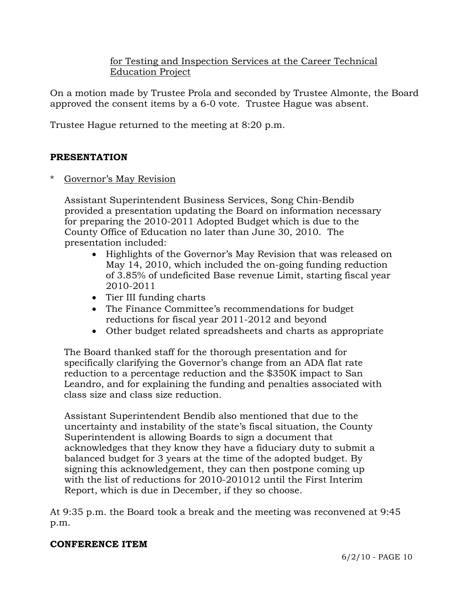# for Testing and Inspection Services at the Career Technical Education Project

On a motion made by Trustee Prola and seconded by Trustee Almonte, the Board approved the consent items by a 6-0 vote. Trustee Hague was absent.

Trustee Hague returned to the meeting at 8:20 p.m.

# **PRESENTATION**

Governor's May Revision

 Assistant Superintendent Business Services, Song Chin-Bendib provided a presentation updating the Board on information necessary for preparing the 2010-2011 Adopted Budget which is due to the County Office of Education no later than June 30, 2010. The presentation included:

- Highlights of the Governor's May Revision that was released on May 14, 2010, which included the on-going funding reduction of 3.85% of undeficited Base revenue Limit, starting fiscal year 2010-2011
- Tier III funding charts
- The Finance Committee's recommendations for budget reductions for fiscal year 2011-2012 and beyond
- Other budget related spreadsheets and charts as appropriate

 The Board thanked staff for the thorough presentation and for specifically clarifying the Governor's change from an ADA flat rate reduction to a percentage reduction and the \$350K impact to San Leandro, and for explaining the funding and penalties associated with class size and class size reduction.

 Assistant Superintendent Bendib also mentioned that due to the uncertainty and instability of the state's fiscal situation, the County Superintendent is allowing Boards to sign a document that acknowledges that they know they have a fiduciary duty to submit a balanced budget for 3 years at the time of the adopted budget. By signing this acknowledgement, they can then postpone coming up with the list of reductions for 2010-201012 until the First Interim Report, which is due in December, if they so choose.

At 9:35 p.m. the Board took a break and the meeting was reconvened at 9:45 p.m.

# **CONFERENCE ITEM**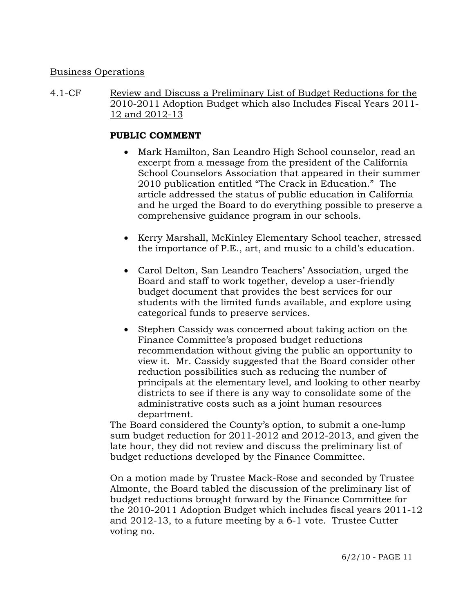#### Business Operations

4.1-CF Review and Discuss a Preliminary List of Budget Reductions for the 2010-2011 Adoption Budget which also Includes Fiscal Years 2011- 12 and 2012-13

#### **PUBLIC COMMENT**

- Mark Hamilton, San Leandro High School counselor, read an excerpt from a message from the president of the California School Counselors Association that appeared in their summer 2010 publication entitled "The Crack in Education." The article addressed the status of public education in California and he urged the Board to do everything possible to preserve a comprehensive guidance program in our schools.
- Kerry Marshall, McKinley Elementary School teacher, stressed the importance of P.E., art, and music to a child's education.
- Carol Delton, San Leandro Teachers' Association, urged the Board and staff to work together, develop a user-friendly budget document that provides the best services for our students with the limited funds available, and explore using categorical funds to preserve services.
- Stephen Cassidy was concerned about taking action on the Finance Committee's proposed budget reductions recommendation without giving the public an opportunity to view it. Mr. Cassidy suggested that the Board consider other reduction possibilities such as reducing the number of principals at the elementary level, and looking to other nearby districts to see if there is any way to consolidate some of the administrative costs such as a joint human resources department.

The Board considered the County's option, to submit a one-lump sum budget reduction for 2011-2012 and 2012-2013, and given the late hour, they did not review and discuss the preliminary list of budget reductions developed by the Finance Committee.

On a motion made by Trustee Mack-Rose and seconded by Trustee Almonte, the Board tabled the discussion of the preliminary list of budget reductions brought forward by the Finance Committee for the 2010-2011 Adoption Budget which includes fiscal years 2011-12 and 2012-13, to a future meeting by a 6-1 vote. Trustee Cutter voting no.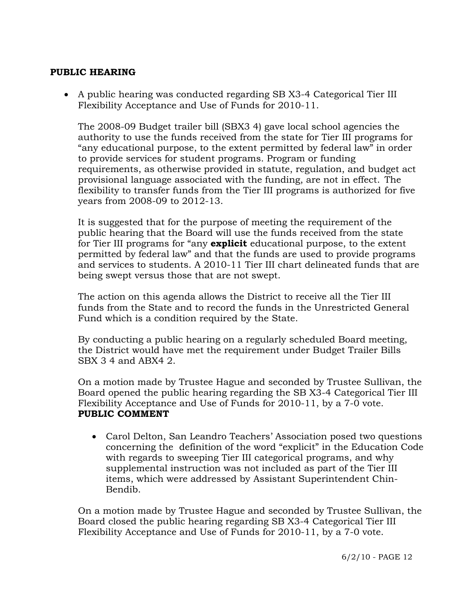# **PUBLIC HEARING**

 A public hearing was conducted regarding SB X3-4 Categorical Tier III Flexibility Acceptance and Use of Funds for 2010-11.

 The 2008-09 Budget trailer bill (SBX3 4) gave local school agencies the authority to use the funds received from the state for Tier III programs for "any educational purpose, to the extent permitted by federal law" in order to provide services for student programs. Program or funding requirements, as otherwise provided in statute, regulation, and budget act provisional language associated with the funding, are not in effect. The flexibility to transfer funds from the Tier III programs is authorized for five years from 2008-09 to 2012-13.

 It is suggested that for the purpose of meeting the requirement of the public hearing that the Board will use the funds received from the state for Tier III programs for "any **explicit** educational purpose, to the extent permitted by federal law" and that the funds are used to provide programs and services to students. A 2010-11 Tier III chart delineated funds that are being swept versus those that are not swept.

 The action on this agenda allows the District to receive all the Tier III funds from the State and to record the funds in the Unrestricted General Fund which is a condition required by the State.

 By conducting a public hearing on a regularly scheduled Board meeting, the District would have met the requirement under Budget Trailer Bills SBX 3 4 and ABX4 2.

 On a motion made by Trustee Hague and seconded by Trustee Sullivan, the Board opened the public hearing regarding the SB X3-4 Categorical Tier III Flexibility Acceptance and Use of Funds for 2010-11, by a 7-0 vote. **PUBLIC COMMENT** 

• Carol Delton, San Leandro Teachers' Association posed two questions concerning the definition of the word "explicit" in the Education Code with regards to sweeping Tier III categorical programs, and why supplemental instruction was not included as part of the Tier III items, which were addressed by Assistant Superintendent Chin-Bendib.

 On a motion made by Trustee Hague and seconded by Trustee Sullivan, the Board closed the public hearing regarding SB X3-4 Categorical Tier III Flexibility Acceptance and Use of Funds for 2010-11, by a 7-0 vote.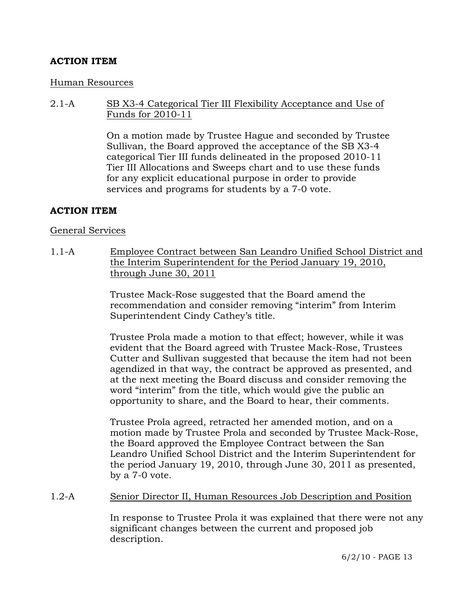# **ACTION ITEM**

#### Human Resources

2.1-A SB X3-4 Categorical Tier III Flexibility Acceptance and Use of Funds for 2010-11

> On a motion made by Trustee Hague and seconded by Trustee Sullivan, the Board approved the acceptance of the SB X3-4 categorical Tier III funds delineated in the proposed 2010-11 Tier III Allocations and Sweeps chart and to use these funds for any explicit educational purpose in order to provide services and programs for students by a 7-0 vote.

#### **ACTION ITEM**

#### General Services

1.1-A Employee Contract between San Leandro Unified School District and the Interim Superintendent for the Period January 19, 2010, through June 30, 2011

> Trustee Mack-Rose suggested that the Board amend the recommendation and consider removing "interim" from Interim Superintendent Cindy Cathey's title.

Trustee Prola made a motion to that effect; however, while it was evident that the Board agreed with Trustee Mack-Rose, Trustees Cutter and Sullivan suggested that because the item had not been agendized in that way, the contract be approved as presented, and at the next meeting the Board discuss and consider removing the word "interim" from the title, which would give the public an opportunity to share, and the Board to hear, their comments.

Trustee Prola agreed, retracted her amended motion, and on a motion made by Trustee Prola and seconded by Trustee Mack-Rose, the Board approved the Employee Contract between the San Leandro Unified School District and the Interim Superintendent for the period January 19, 2010, through June 30, 2011 as presented, by a 7-0 vote.

#### 1.2-A Senior Director II, Human Resources Job Description and Position

In response to Trustee Prola it was explained that there were not any significant changes between the current and proposed job description.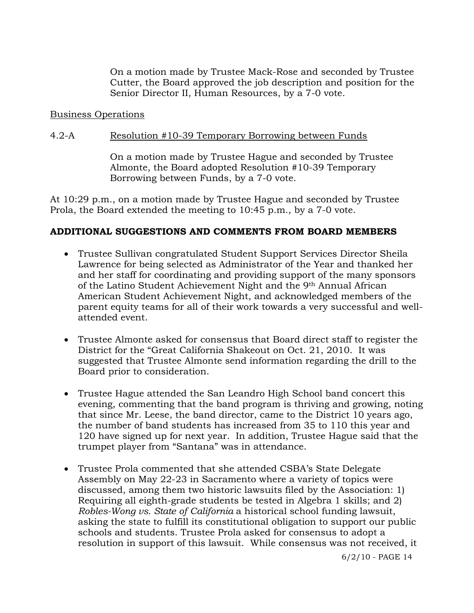On a motion made by Trustee Mack-Rose and seconded by Trustee Cutter, the Board approved the job description and position for the Senior Director II, Human Resources, by a 7-0 vote.

#### Business Operations

#### 4.2-A Resolution #10-39 Temporary Borrowing between Funds

On a motion made by Trustee Hague and seconded by Trustee Almonte, the Board adopted Resolution #10-39 Temporary Borrowing between Funds, by a 7-0 vote.

At 10:29 p.m., on a motion made by Trustee Hague and seconded by Trustee Prola, the Board extended the meeting to 10:45 p.m., by a 7-0 vote.

#### **ADDITIONAL SUGGESTIONS AND COMMENTS FROM BOARD MEMBERS**

- Trustee Sullivan congratulated Student Support Services Director Sheila Lawrence for being selected as Administrator of the Year and thanked her and her staff for coordinating and providing support of the many sponsors of the Latino Student Achievement Night and the 9th Annual African American Student Achievement Night, and acknowledged members of the parent equity teams for all of their work towards a very successful and wellattended event.
- Trustee Almonte asked for consensus that Board direct staff to register the District for the "Great California Shakeout on Oct. 21, 2010. It was suggested that Trustee Almonte send information regarding the drill to the Board prior to consideration.
- Trustee Hague attended the San Leandro High School band concert this evening, commenting that the band program is thriving and growing, noting that since Mr. Leese, the band director, came to the District 10 years ago, the number of band students has increased from 35 to 110 this year and 120 have signed up for next year. In addition, Trustee Hague said that the trumpet player from "Santana" was in attendance.
- Trustee Prola commented that she attended CSBA's State Delegate Assembly on May 22-23 in Sacramento where a variety of topics were discussed, among them two historic lawsuits filed by the Association: 1) Requiring all eighth-grade students be tested in Algebra 1 skills; and 2) *Robles-Wong vs. State of California* a historical school funding lawsuit, asking the state to fulfill its constitutional obligation to support our public schools and students. Trustee Prola asked for consensus to adopt a resolution in support of this lawsuit. While consensus was not received, it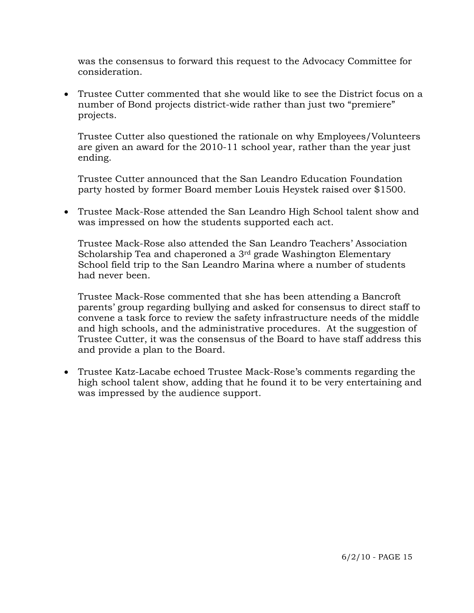was the consensus to forward this request to the Advocacy Committee for consideration.

 Trustee Cutter commented that she would like to see the District focus on a number of Bond projects district-wide rather than just two "premiere" projects.

 Trustee Cutter also questioned the rationale on why Employees/Volunteers are given an award for the 2010-11 school year, rather than the year just ending.

 Trustee Cutter announced that the San Leandro Education Foundation party hosted by former Board member Louis Heystek raised over \$1500.

 Trustee Mack-Rose attended the San Leandro High School talent show and was impressed on how the students supported each act.

 Trustee Mack-Rose also attended the San Leandro Teachers' Association Scholarship Tea and chaperoned a 3rd grade Washington Elementary School field trip to the San Leandro Marina where a number of students had never been.

 Trustee Mack-Rose commented that she has been attending a Bancroft parents' group regarding bullying and asked for consensus to direct staff to convene a task force to review the safety infrastructure needs of the middle and high schools, and the administrative procedures. At the suggestion of Trustee Cutter, it was the consensus of the Board to have staff address this and provide a plan to the Board.

 Trustee Katz-Lacabe echoed Trustee Mack-Rose's comments regarding the high school talent show, adding that he found it to be very entertaining and was impressed by the audience support.